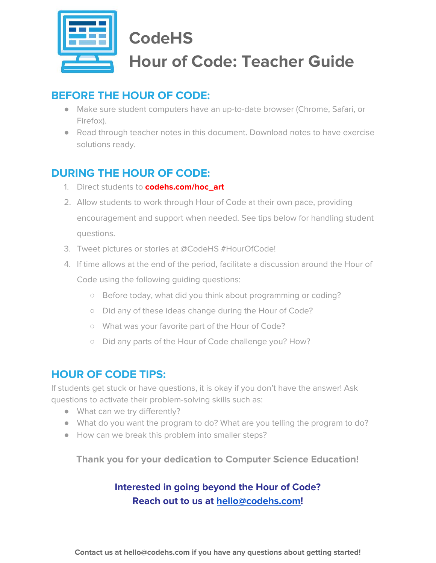

# **CodeHS Hour of Code: Teacher Guide**

## **BEFORE THE HOUR OF CODE:**

- Make sure student computers have an up-to-date browser (Chrome, Safari, or Firefox).
- Read through teacher notes in this document. Download notes to have exercise solutions ready.

## **DURING THE HOUR OF CODE:**

- 1. Direct students to **codehs.com/hoc\_art**
- 2. Allow students to work through Hour of Code at their own pace, providing encouragement and support when needed. See tips below for handling student questions.
- 3. Tweet pictures or stories at @CodeHS #HourOfCode!
- 4. If time allows at the end of the period, facilitate a discussion around the Hour of Code using the following guiding questions:
	- Before today, what did you think about programming or coding?
	- Did any of these ideas change during the Hour of Code?
	- What was your favorite part of the Hour of Code?
	- Did any parts of the Hour of Code challenge you? How?

## **HOUR OF CODE TIPS:**

If students get stuck or have questions, it is okay if you don't have the answer! Ask questions to activate their problem-solving skills such as:

- What can we try differently?
- What do you want the program to do? What are you telling the program to do?
- How can we break this problem into smaller steps?

**Thank you for your dedication to Computer Science Education!**

### **Interested in going beyond the Hour of Code? Reach out to us at [hello@codehs.com](mailto:hello@codehs.com)!**